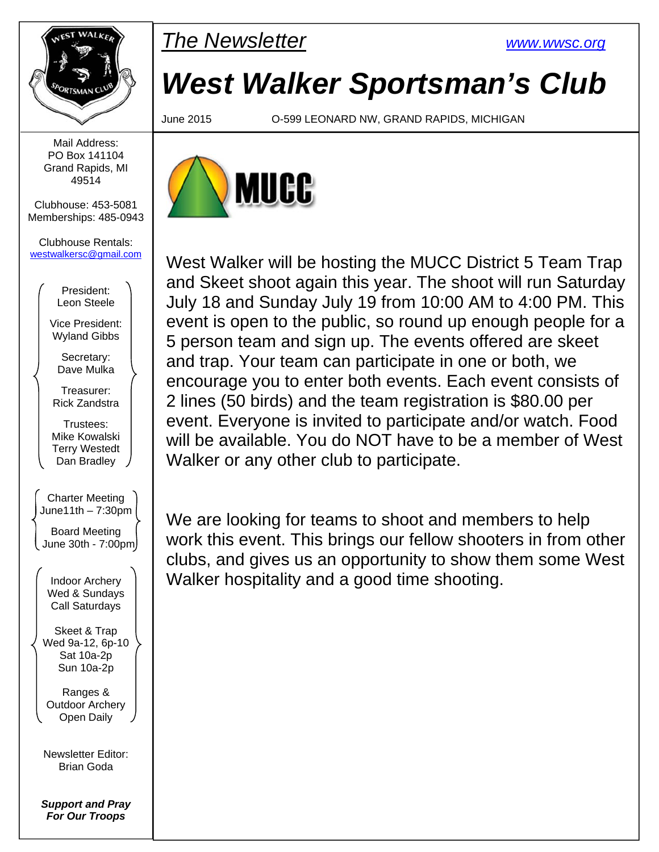

**PMARKER** The Newsletter **EXAMPLE 1999** WWW.wwsc.org

# *West Walker Sportsman's Club*

June 2015 O-599 LEONARD NW, GRAND RAPIDS, MICHIGAN



West Walker will be hosting the MUCC District 5 Team Trap and Skeet shoot again this year. The shoot will run Saturday July 18 and Sunday July 19 from 10:00 AM to 4:00 PM. This event is open to the public, so round up enough people for a 5 person team and sign up. The events offered are skeet and trap. Your team can participate in one or both, we encourage you to enter both events. Each event consists of 2 lines (50 birds) and the team registration is \$80.00 per event. Everyone is invited to participate and/or watch. Food will be available. You do NOT have to be a member of West Walker or any other club to participate.

We are looking for teams to shoot and members to help work this event. This brings our fellow shooters in from other clubs, and gives us an opportunity to show them some West Walker hospitality and a good time shooting.

Mail Address: PO Box 141104 Grand Rapids, MI 49514

Clubhouse: 453-5081 Memberships: 485-0943

Clubhouse Rentals: westwalkersc@gmail.com

> President: Leon Steele

Vice President: Wyland Gibbs

Secretary: Dave Mulka

Treasurer: Rick Zandstra

Trustees: Mike Kowalski Terry Westedt Dan Bradley

Charter Meeting  $June11th - 7:30pm$ Board Meeting June 30th - 7:00pm

> Indoor Archery Wed & Sundays Call Saturdays

Skeet & Trap Wed 9a-12, 6p-10 Sat 10a-2p Sun 10a-2p

Ranges & Outdoor Archery Open Daily

Newsletter Editor: Brian Goda

*Support and Pray For Our Troops*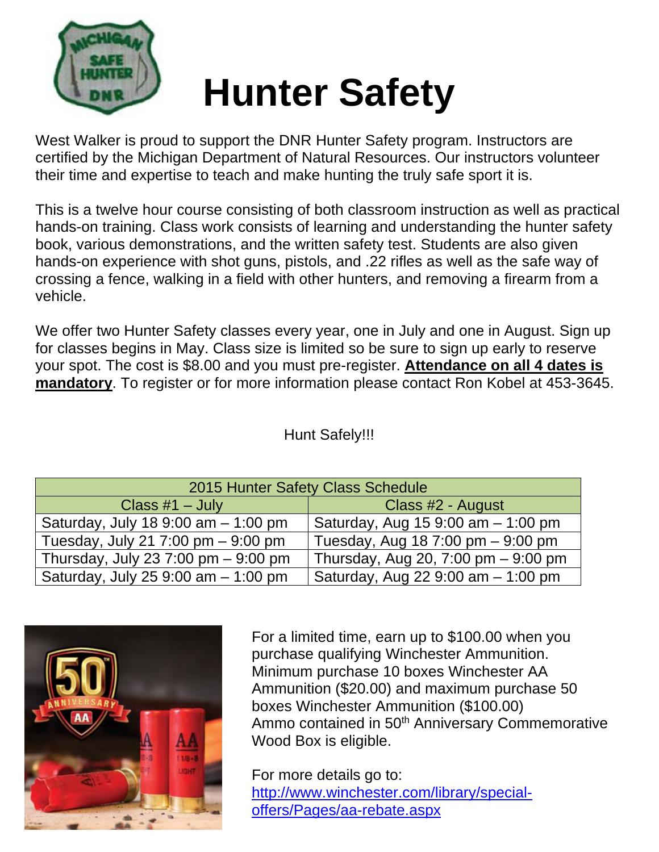

# **Hunter Safety**

West Walker is proud to support the DNR Hunter Safety program. Instructors are certified by the Michigan Department of Natural Resources. Our instructors volunteer their time and expertise to teach and make hunting the truly safe sport it is.

This is a twelve hour course consisting of both classroom instruction as well as practical hands-on training. Class work consists of learning and understanding the hunter safety book, various demonstrations, and the written safety test. Students are also given hands-on experience with shot guns, pistols, and .22 rifles as well as the safe way of crossing a fence, walking in a field with other hunters, and removing a firearm from a vehicle.

We offer two Hunter Safety classes every year, one in July and one in August. Sign up for classes begins in May. Class size is limited so be sure to sign up early to reserve your spot. The cost is \$8.00 and you must pre-register. **Attendance on all 4 dates is mandatory**. To register or for more information please contact Ron Kobel at 453-3645.

### Hunt Safely!!!

| 2015 Hunter Safety Class Schedule      |                                       |  |  |  |  |
|----------------------------------------|---------------------------------------|--|--|--|--|
| Class $#1 - July$                      | Class #2 - August                     |  |  |  |  |
| Saturday, July 18 9:00 am - 1:00 pm    | Saturday, Aug 15 9:00 am - 1:00 pm    |  |  |  |  |
| Tuesday, July 21 7:00 pm $-9:00$ pm    | Tuesday, Aug 18 7:00 pm - 9:00 pm     |  |  |  |  |
| Thursday, July 23 7:00 pm $-$ 9:00 pm  | Thursday, Aug 20, 7:00 pm $-$ 9:00 pm |  |  |  |  |
| Saturday, July 25 $9:00$ am $-1:00$ pm | Saturday, Aug 22 9:00 am - 1:00 pm    |  |  |  |  |



For a limited time, earn up to \$100.00 when you purchase qualifying Winchester Ammunition. Minimum purchase 10 boxes Winchester AA Ammunition (\$20.00) and maximum purchase 50 boxes Winchester Ammunition (\$100.00) Ammo contained in 50<sup>th</sup> Anniversary Commemorative Wood Box is eligible.

For more details go to: http://www.winchester.com/library/specialoffers/Pages/aa-rebate.aspx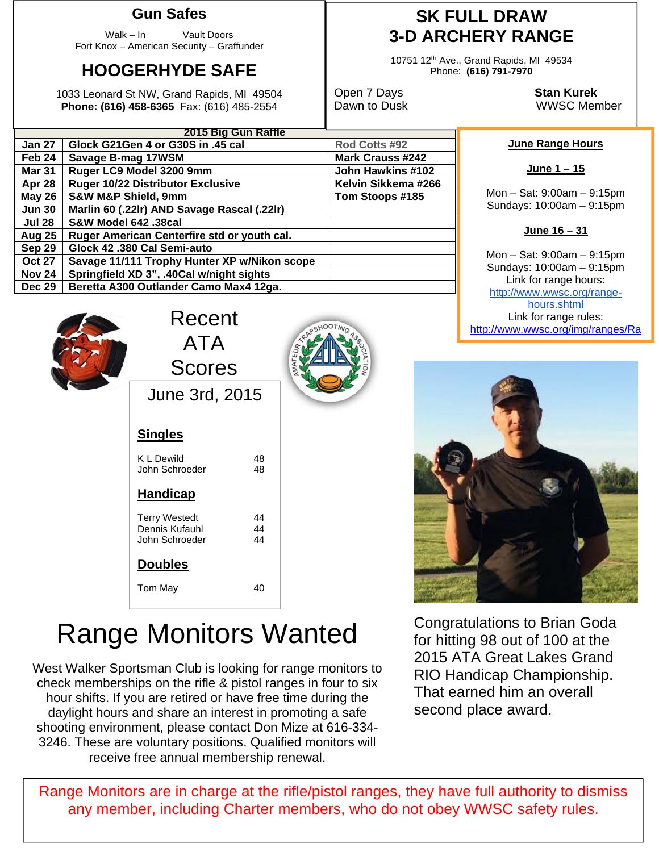#### **Gun Safes**

Walk – In Vault Doors Fort Knox – American Security – Graffunder

## **HOOGERHYDE SAFE**

1033 Leonard St NW, Grand Rapids, MI 49504 **Phone: (616) 458-6365** Fax: (616) 485-2554

**Jun 30 Marlin 60 (.22lr) AND Savage Rascal (.22lr)** 

**Aug 25 Ruger American Centerfire std or youth cal.** 

**Nov 24 Springfield XD 3", .40Cal w/night sights**  Dec 29 | Beretta A300 Outlander Camo Max4 12ga.

**Oct 27 Savage 11/111 Trophy Hunter XP w/Nikon scope** 

**Jul 28 S&W Model 642 .38cal** 

**Sep 29 Glock 42 .380 Cal Semi-auto** 

**2015 Big Gun Raffle**

**Jan 27 Glock G21Gen 4 or G30S in .45 cal Rod Cotts #92 Feb 24 Savage B-mag 17WSM Mark Crauss #242**  Mark Crauss #242 **Mar 31 | Ruger LC9 Model 3200 9mm**  $\blacksquare$  **John Hawkins #102** Apr 28 | Ruger 10/22 Distributor Exclusive | Kelvin Sikkema #266 **May 26 S&W M&P Shield, 9mm Noting Street Street Street Street Street Street Street Street Street Street Street Street Street Street Street Street Street Street Street Street Street Street Street Street Street Street Stree** 

## **SK FULL DRAW 3-D ARCHERY RANGE**

10751 12th Ave., Grand Rapids, MI 49534 Phone: **(616) 791-7970** 

Open 7 Days **Stan Kurek** Dawn to Dusk WWSC Member

#### **June Range Hours**

Mon – Sat: 9:00am – 9:15pm Sundays: 10:00am – 9:15pm

**June 16 – 31** 

Mon – Sat: 9:00am – 9:15pm Sundays: 10:00am – 9:15pm Link for range hours: http://www.wwsc.org/rangehours.shtml **Link for range rules:** Eink for range rules:<br>
Reserved the end of the end of the end of the end of the end of the end of the end of the end of the end of the end of the end of the end of the end of the end of the end of t

|  | Recent<br><b>ATA</b><br><b>Scores</b> |          |  |  |  |
|--|---------------------------------------|----------|--|--|--|
|  |                                       |          |  |  |  |
|  |                                       |          |  |  |  |
|  | June 3rd, 2015                        |          |  |  |  |
|  | <b>Singles</b>                        |          |  |  |  |
|  | <b>KLDewild</b><br>John Schroeder     | 48<br>48 |  |  |  |
|  | <b>Handicap</b>                       |          |  |  |  |
|  | <b>Terry Westedt</b>                  | 44       |  |  |  |





## Range Monitors Wanted

Dennis Kufauhl 44<br>John Schroeder 44

Tom May 40

John Schroeder

**Doubles** 

West Walker Sportsman Club is looking for range monitors to check memberships on the rifle & pistol ranges in four to six hour shifts. If you are retired or have free time during the daylight hours and share an interest in promoting a safe shooting environment, please contact Don Mize at 616-334- 3246. These are voluntary positions. Qualified monitors will receive free annual membership renewal.

Congratulations to Brian Goda for hitting 98 out of 100 at the 2015 ATA Great Lakes Grand RIO Handicap Championship. That earned him an overall second place award.

Range Monitors are in charge at the rifle/pistol ranges, they have full authority to dismiss any member, including Charter members, who do not obey WWSC safety rules.

**June 1 – 15**